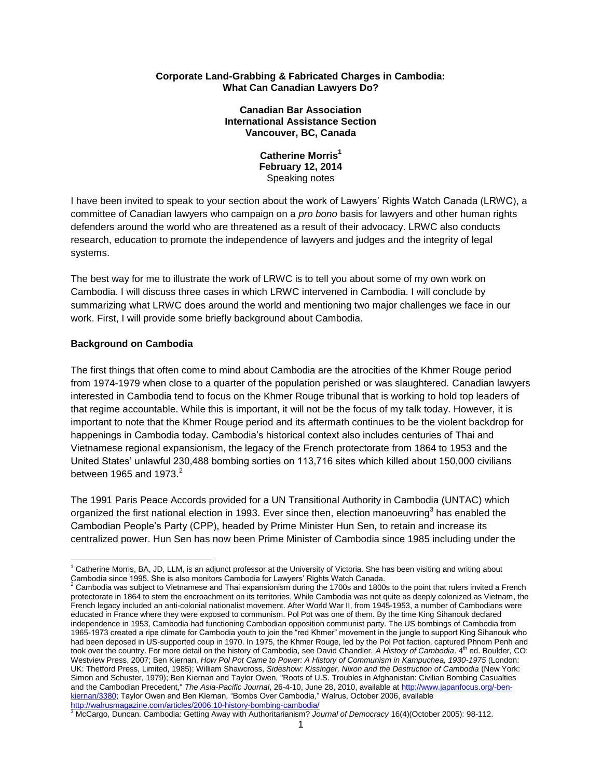#### **Corporate Land-Grabbing & Fabricated Charges in Cambodia: What Can Canadian Lawyers Do?**

#### **Canadian Bar Association International Assistance Section Vancouver, BC, Canada**

**Catherine Morris<sup>1</sup> February 12, 2014** Speaking notes

I have been invited to speak to your section about the work of Lawyers' Rights Watch Canada (LRWC), a committee of Canadian lawyers who campaign on a *pro bono* basis for lawyers and other human rights defenders around the world who are threatened as a result of their advocacy. LRWC also conducts research, education to promote the independence of lawyers and judges and the integrity of legal systems.

The best way for me to illustrate the work of LRWC is to tell you about some of my own work on Cambodia. I will discuss three cases in which LRWC intervened in Cambodia. I will conclude by summarizing what LRWC does around the world and mentioning two major challenges we face in our work. First, I will provide some briefly background about Cambodia.

## **Background on Cambodia**

 $\overline{a}$ 

The first things that often come to mind about Cambodia are the atrocities of the Khmer Rouge period from 1974-1979 when close to a quarter of the population perished or was slaughtered. Canadian lawyers interested in Cambodia tend to focus on the Khmer Rouge tribunal that is working to hold top leaders of that regime accountable. While this is important, it will not be the focus of my talk today. However, it is important to note that the Khmer Rouge period and its aftermath continues to be the violent backdrop for happenings in Cambodia today. Cambodia's historical context also includes centuries of Thai and Vietnamese regional expansionism, the legacy of the French protectorate from 1864 to 1953 and the United States' unlawful 230,488 bombing sorties on 113,716 sites which killed about 150,000 civilians between 1965 and 1973 $2$ 

The 1991 Paris Peace Accords provided for a UN Transitional Authority in Cambodia (UNTAC) which organized the first national election in 1993. Ever since then, election manoeuvring<sup>3</sup> has enabled the Cambodian People's Party (CPP), headed by Prime Minister Hun Sen, to retain and increase its centralized power. Hun Sen has now been Prime Minister of Cambodia since 1985 including under the

<sup>1</sup> Catherine Morris, BA, JD, LLM, is an adjunct professor at the University of Victoria. She has been visiting and writing about

Cambodia since 1995. She is also monitors Cambodia for Lawyers' Rights Watch Canada.<br><sup>2</sup> Cambodia was subject to Vietnamese and Thai expansionism during the 1700s and 1800s to the point that rulers invited a French protectorate in 1864 to stem the encroachment on its territories. While Cambodia was not quite as deeply colonized as Vietnam, the French legacy included an anti-colonial nationalist movement. After World War II, from 1945-1953, a number of Cambodians were educated in France where they were exposed to communism. Pol Pot was one of them. By the time King Sihanouk declared independence in 1953, Cambodia had functioning Cambodian opposition communist party. The US bombings of Cambodia from 1965-1973 created a ripe climate for Cambodia youth to join the "red Khmer" movement in the jungle to support King Sihanouk who had been deposed in US-supported coup in 1970. In 1975, the Khmer Rouge, led by the Pol Pot faction, captured Phnom Penh and took over the country. For more detail on the history of Cambodia, see David Chandler. A History of Cambodia. 4<sup>th</sup> ed. Boulder, CO: Westview Press, 2007; Ben Kiernan, *How Pol Pot Came to Power: A History of Communism in Kampuchea, 1930-1975* (London: UK: Thetford Press, Limited, 1985); William Shawcross, *Sideshow: Kissinger, Nixon and the Destruction of Cambodia* (New York: Simon and Schuster, 1979); Ben Kiernan and Taylor Owen, "Roots of U.S. Troubles in Afghanistan: Civilian Bombing Casualties and the Cambodian Precedent," *The Asia-Pacific Journal*, 26-4-10, June 28, 2010, available a[t http://www.japanfocus.org/-ben](http://www.japanfocus.org/-ben-kiernan/3380)[kiernan/3380;](http://www.japanfocus.org/-ben-kiernan/3380) Taylor Owen and Ben Kiernan, "Bombs Over Cambodia," Walrus, October 2006, available

<http://walrusmagazine.com/articles/2006.10-history-bombing-cambodia/> <sup>3</sup> McCargo, Duncan. Cambodia: Getting Away with Authoritarianism? *Journal of Democracy* 16(4)(October 2005): 98-112.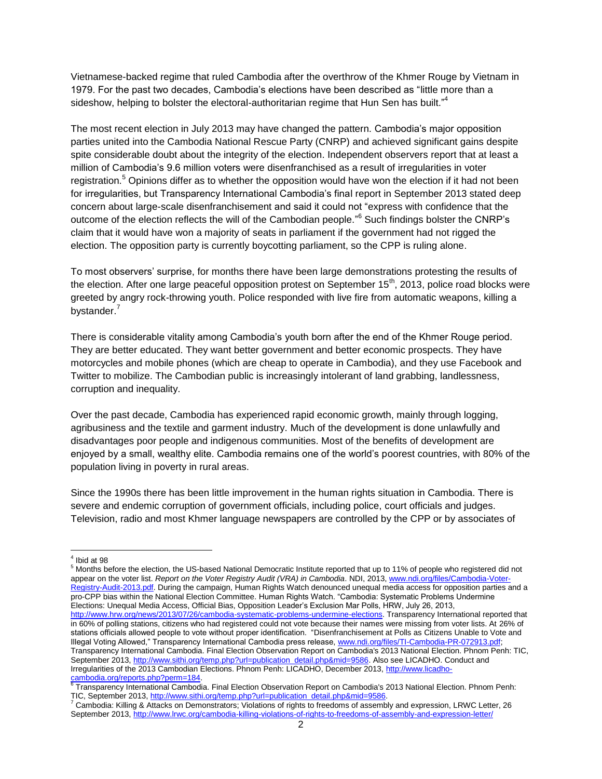Vietnamese-backed regime that ruled Cambodia after the overthrow of the Khmer Rouge by Vietnam in 1979. For the past two decades, Cambodia's elections have been described as "little more than a sideshow, helping to bolster the electoral-authoritarian regime that Hun Sen has built."<sup>4</sup>

The most recent election in July 2013 may have changed the pattern. Cambodia's major opposition parties united into the Cambodia National Rescue Party (CNRP) and achieved significant gains despite spite considerable doubt about the integrity of the election. Independent observers report that at least a million of Cambodia's 9.6 million voters were disenfranchised as a result of irregularities in voter registration.<sup>5</sup> Opinions differ as to whether the opposition would have won the election if it had not been for irregularities, but Transparency International Cambodia's final report in September 2013 stated deep concern about large-scale disenfranchisement and said it could not "express with confidence that the outcome of the election reflects the will of the Cambodian people."<sup>6</sup> Such findings bolster the CNRP's claim that it would have won a majority of seats in parliament if the government had not rigged the election. The opposition party is currently boycotting parliament, so the CPP is ruling alone.

To most observers' surprise, for months there have been large demonstrations protesting the results of the election. After one large peaceful opposition protest on September 15<sup>th</sup>, 2013, police road blocks were greeted by angry rock-throwing youth. Police responded with live fire from automatic weapons, killing a bystander.<sup>7</sup>

There is considerable vitality among Cambodia's youth born after the end of the Khmer Rouge period. They are better educated. They want better government and better economic prospects. They have motorcycles and mobile phones (which are cheap to operate in Cambodia), and they use Facebook and Twitter to mobilize. The Cambodian public is increasingly intolerant of land grabbing, landlessness, corruption and inequality.

Over the past decade, Cambodia has experienced rapid economic growth, mainly through logging, agribusiness and the textile and garment industry. Much of the development is done unlawfully and disadvantages poor people and indigenous communities. Most of the benefits of development are enjoyed by a small, wealthy elite. Cambodia remains one of the world's poorest countries, with 80% of the population living in poverty in rural areas.

Since the 1990s there has been little improvement in the human rights situation in Cambodia. There is severe and endemic corruption of government officials, including police, court officials and judges. Television, radio and most Khmer language newspapers are controlled by the CPP or by associates of

 4 Ibid at 98

<sup>5</sup> Months before the election, the US-based National Democratic Institute reported that up to 11% of people who registered did not appear on the voter list. *Report on the Voter Registry Audit (VRA) in Cambodia*. NDI, 2013, [www.ndi.org/files/Cambodia-Voter-](http://www.ndi.org/files/Cambodia-Voter-Registry-Audit-2013.pdf)[Registry-Audit-2013.pdf.](http://www.ndi.org/files/Cambodia-Voter-Registry-Audit-2013.pdf) During the campaign, Human Rights Watch denounced unequal media access for opposition parties and a pro-CPP bias within the National Election Committee. Human Rights Watch. "Cambodia: Systematic Problems Undermine Elections: Unequal Media Access, Official Bias, Opposition Leader's Exclusion Mar Polls, HRW, July 26, 2013, [http://www.hrw.org/news/2013/07/26/cambodia-systematic-problems-undermine-elections.](http://www.hrw.org/news/2013/07/26/cambodia-systematic-problems-undermine-elections) Transparency International reported that in 60% of polling stations, citizens who had registered could not vote because their names were missing from voter lists. At 26% of stations officials allowed people to vote without proper identification. "Disenfranchisement at Polls as Citizens Unable to Vote and Illegal Voting Allowed," Transparency International Cambodia press release, [www.ndi.org/files/TI-Cambodia-PR-072913.pdf;](http://www.ndi.org/files/TI-Cambodia-PR-072913.pdf) Transparency International Cambodia. Final Election Observation Report on Cambodia's 2013 National Election. Phnom Penh: TIC, September 2013[, http://www.sithi.org/temp.php?url=publication\\_detail.php&mid=9586.](http://www.sithi.org/temp.php?url=publication_detail.php&mid=9586) Also see LICADHO. Conduct and Irregularities of the 2013 Cambodian Elections. Phnom Penh: LICADHO, December 2013[, http://www.licadho-](http://www.licadho-cambodia.org/reports.php?perm=184)

<sup>&</sup>lt;u>cambodia.org/reports.php?perm=184</u>.<br><sup>6</sup> Transparency International Cambodia. Final Election Observation Report on Cambodia's 2013 National Election. Phnom Penh: TIC, September 2013, [http://www.sithi.org/temp.php?url=publication\\_detail.php&mid=9586.](http://www.sithi.org/temp.php?url=publication_detail.php&mid=9586)

<sup>7</sup> Cambodia: Killing & Attacks on Demonstrators; Violations of rights to freedoms of assembly and expression, LRWC Letter, 26 September 2013[, http://www.lrwc.org/cambodia-killing-violations-of-rights-to-freedoms-of-assembly-and-expression-letter/](http://www.lrwc.org/cambodia-killing-violations-of-rights-to-freedoms-of-assembly-and-expression-letter/)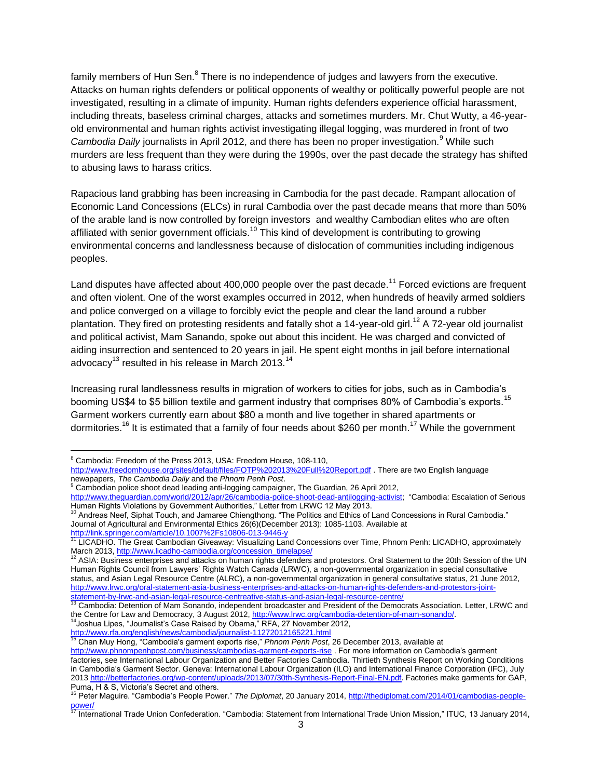family members of Hun Sen.<sup>8</sup> There is no independence of judges and lawyers from the executive. Attacks on human rights defenders or political opponents of wealthy or politically powerful people are not investigated, resulting in a climate of impunity. Human rights defenders experience official harassment, including threats, baseless criminal charges, attacks and sometimes murders. Mr. Chut Wutty, a 46-yearold environmental and human rights activist investigating illegal logging, was murdered in front of two *Cambodia Daily* journalists in April 2012, and there has been no proper investigation.<sup>9</sup> While such murders are less frequent than they were during the 1990s, over the past decade the strategy has shifted to abusing laws to harass critics.

Rapacious land grabbing has been increasing in Cambodia for the past decade. Rampant allocation of Economic Land Concessions (ELCs) in rural Cambodia over the past decade means that more than 50% of the arable land is now controlled by foreign investors and wealthy Cambodian elites who are often affiliated with senior government officials.<sup>10</sup> This kind of development is contributing to growing environmental concerns and landlessness because of dislocation of communities including indigenous peoples.

Land disputes have affected about 400,000 people over the past decade.<sup>11</sup> Forced evictions are frequent and often violent. One of the worst examples occurred in 2012, when hundreds of heavily armed soldiers and police converged on a village to forcibly evict the people and clear the land around a rubber plantation. They fired on protesting residents and fatally shot a 14-year-old girl.<sup>12</sup> A 72-year old journalist and political activist, Mam Sanando, spoke out about this incident. He was charged and convicted of aiding insurrection and sentenced to 20 years in jail. He spent eight months in jail before international advocacy<sup>13</sup> resulted in his release in March 2013.<sup>14</sup>

Increasing rural landlessness results in migration of workers to cities for jobs, such as in Cambodia's booming US\$4 to \$5 billion textile and garment industry that comprises 80% of Cambodia's exports.<sup>15</sup> Garment workers currently earn about \$80 a month and live together in shared apartments or dormitories.<sup>16</sup> It is estimated that a family of four needs about \$260 per month.<sup>17</sup> While the government

 $\overline{a}$ 

<http://www.rfa.org/english/news/cambodia/journalist-11272012165221.html>

 $8$  Cambodia: Freedom of the Press 2013, USA: Freedom House, 108-110,

<http://www.freedomhouse.org/sites/default/files/FOTP%202013%20Full%20Report.pdf> . There are two English language newapapers, *The Cambodia Daily* and the *Phnom Penh Post*. <sup>9</sup> Cambodian police shoot dead leading anti-logging campaigner, The Guardian, 26 April 2012,

[http://www.theguardian.com/world/2012/apr/26/cambodia-police-shoot-dead-antilogging-activist;](http://www.theguardian.com/world/2012/apr/26/cambodia-police-shoot-dead-antilogging-activist) "Cambodia: Escalation of Serious Human Rights Violations by Government Authorities," Letter from LRWC 12 May 2013.

<sup>&</sup>lt;sup>10</sup> Andreas Neef, Siphat Touch, and Jamaree Chiengthong. "The Politics and Ethics of Land Concessions in Rural Cambodia." Journal of Agricultural and Environmental Ethics 26(6)(December 2013): 1085-1103. Available at <http://link.springer.com/article/10.1007%2Fs10806-013-9446-y>

<sup>&</sup>lt;sup>11</sup> LICADHO. The Great Cambodian Giveaway: Visualizing Land Concessions over Time, Phnom Penh: LICADHO, approximately March 2013[, http://www.licadho-cambodia.org/concession\\_timelapse/](http://www.licadho-cambodia.org/concession_timelapse/)

<sup>12</sup> ASIA: Business enterprises and attacks on human rights defenders and protestors. Oral Statement to the 20th Session of the UN Human Rights Council from Lawyers' Rights Watch Canada (LRWC), a non-governmental organization in special consultative status, and Asian Legal Resource Centre (ALRC), a non-governmental organization in general consultative status, 21 June 2012, [http://www.lrwc.org/oral-statement-asia-business-enterprises-and-attacks-on-human-rights-defenders-and-protestors-joint](http://www.lrwc.org/oral-statement-asia-business-enterprises-and-attacks-on-human-rights-defenders-and-protestors-joint-statement-by-lrwc-and-asian-legal-resource-centreative-status-and-asian-legal-resource-centre/)[statement-by-lrwc-and-asian-legal-resource-centreative-status-and-asian-legal-resource-centre/](http://www.lrwc.org/oral-statement-asia-business-enterprises-and-attacks-on-human-rights-defenders-and-protestors-joint-statement-by-lrwc-and-asian-legal-resource-centreative-status-and-asian-legal-resource-centre/)

<sup>13</sup> Cambodia: Detention of Mam Sonando, independent broadcaster and President of the Democrats Association. Letter, LRWC and the Centre for Law and Democracy, 3 August 2012[, http://www.lrwc.org/cambodia-detention-of-mam-sonando/.](http://www.lrwc.org/cambodia-detention-of-mam-sonando/) <sup>14</sup>Joshua Lipes, "Journalist's Case Raised by Obama," RFA, 27 November 2012,

<sup>15</sup> Chan Muy Hong, "Cambodia's garment exports rise," *Phnom Penh Post*, 26 December 2013, available at <http://www.phnompenhpost.com/business/cambodias-garment-exports-rise> . For more information on Cambodia's garment factories, see International Labour Organization and Better Factories Cambodia. Thirtieth Synthesis Report on Working Conditions in Cambodia's Garment Sector. Geneva: International Labour Organization (ILO) and International Finance Corporation (IFC), July 2013 [http://betterfactories.org/wp-content/uploads/2013/07/30th-Synthesis-Report-Final-EN.pdf.](http://betterfactories.org/wp-content/uploads/2013/07/30th-Synthesis-Report-Final-EN.pdf) Factories make garments for GAP, Puma, H & S, Victoria's Secret and others. <sup>16</sup> Peter Maguire. "Cambodia's People Power." *The Diplomat*, 20 January 2014[, http://thediplomat.com/2014/01/cambodias-people-](http://thediplomat.com/2014/01/cambodias-people-power/)

[power/](http://thediplomat.com/2014/01/cambodias-people-power/)<br><sup>17</sup> International Trade Union Confederation. "Cambodia: Statement from International Trade Union Mission," ITUC, 13 January 2014,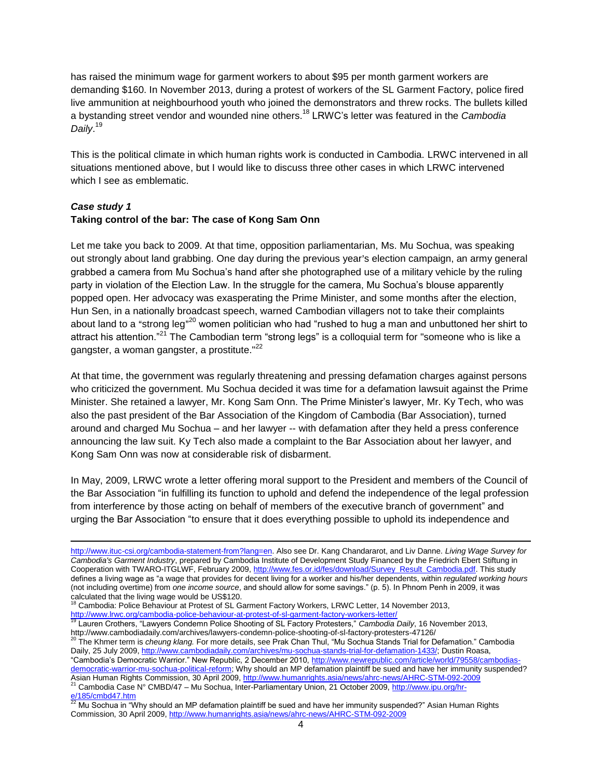has raised the minimum wage for garment workers to about \$95 per month garment workers are demanding \$160. In November 2013, during a protest of workers of the SL Garment Factory, police fired live ammunition at neighbourhood youth who joined the demonstrators and threw rocks. The bullets killed a bystanding street vendor and wounded nine others. <sup>18</sup> LRWC's letter was featured in the *Cambodia Daily*. 19

This is the political climate in which human rights work is conducted in Cambodia. LRWC intervened in all situations mentioned above, but I would like to discuss three other cases in which LRWC intervened which I see as emblematic.

#### *Case study 1* **Taking control of the bar: The case of Kong Sam Onn**

 $\overline{a}$ 

Let me take you back to 2009. At that time, opposition parliamentarian, Ms. Mu Sochua, was speaking out strongly about land grabbing. One day during the previous year's election campaign, an army general grabbed a camera from Mu Sochua's hand after she photographed use of a military vehicle by the ruling party in violation of the Election Law. In the struggle for the camera, Mu Sochua's blouse apparently popped open. Her advocacy was exasperating the Prime Minister, and some months after the election, Hun Sen, in a nationally broadcast speech, warned Cambodian villagers not to take their complaints about land to a "strong leg"<sup>20</sup> women politician who had "rushed to hug a man and unbuttoned her shirt to attract his attention."<sup>21</sup> The Cambodian term "strong legs" is a colloquial term for "someone who is like a gangster, a woman gangster, a prostitute."<sup>22</sup>

At that time, the government was regularly threatening and pressing defamation charges against persons who criticized the government. Mu Sochua decided it was time for a defamation lawsuit against the Prime Minister. She retained a lawyer, Mr. Kong Sam Onn. The Prime Minister's lawyer, Mr. Ky Tech, who was also the past president of the Bar Association of the Kingdom of Cambodia (Bar Association), turned around and charged Mu Sochua – and her lawyer -- with defamation after they held a press conference announcing the law suit. Ky Tech also made a complaint to the Bar Association about her lawyer, and Kong Sam Onn was now at considerable risk of disbarment.

In May, 2009, LRWC wrote a letter offering moral support to the President and members of the Council of the Bar Association "in fulfilling its function to uphold and defend the independence of the legal profession from interference by those acting on behalf of members of the executive branch of government" and urging the Bar Association "to ensure that it does everything possible to uphold its independence and

Asian Human Rights Commission, 30 April 2009, <u>http://www.humanrights.asia/news/ahrc-news/AHRC-STM-092-2009</u><br><sup>21</sup> Cambodia Case N° CMBD/47 – Mu Sochua, Inter-Parliamentary Union, 21 October 2009, <u>http://www.ipu.org/hr-</u>

<u>[e/185/cmbd47.htm](http://www.ipu.org/hr-e/185/cmbd47.htm)</u><br><sup>22</sup> Mu Sochua in "Why should an MP defamation plaintiff be sued and have her immunity suspended?" Asian Human Rights Commission, 30 April 2009,<http://www.humanrights.asia/news/ahrc-news/AHRC-STM-092-2009>

[http://www.ituc-csi.org/cambodia-statement-from?lang=en.](http://www.ituc-csi.org/cambodia-statement-from?lang=en) Also see Dr. Kang Chandararot, and Liv Danne. *Living Wage Survey for Cambodia's Garment Industry*, prepared by Cambodia Institute of Development Study Financed by the Friedrich Ebert Stiftung in Cooperation with TWARO-ITGLWF, February 2009, [http://www.fes.or.id/fes/download/Survey\\_Result\\_Cambodia.pdf.](http://www.fes.or.id/fes/download/Survey_Result_Cambodia.pdf) This study defines a living wage as "a wage that provides for decent living for a worker and his/her dependents, within *regulated working hours*  (not including overtime) from *one income source*, and should allow for some savings." (p. 5). In Phnom Penh in 2009, it was calculated that the living wage would be US\$120.

Cambodia: Police Behaviour at Protest of SL Garment Factory Workers, LRWC Letter, 14 November 2013,

<http://www.lrwc.org/cambodia-police-behaviour-at-protest-of-sl-garment-factory-workers-letter/> <sup>19</sup> Lauren Crothers, "Lawyers Condemn Police Shooting of SL Factory Protesters," *Cambodia Daily*, 16 November 2013, http://www.cambodiadaily.com/archives/lawyers-condemn-police-shooting-of-sl-factory-protesters-47126/

<sup>20</sup> The Khmer term is *cheung klang.* For more details, see Prak Chan Thul, "Mu Sochua Stands Trial for Defamation." Cambodia Daily, 25 July 2009, [http://www.cambodiadaily.com/archives/mu-sochua-stands-trial-for-defamation-1433/;](http://www.cambodiadaily.com/archives/mu-sochua-stands-trial-for-defamation-1433/) Dustin Roasa, "Cambodia's Democratic Warrior." New Republic, 2 December 2010, [http://www.newrepublic.com/article/world/79558/cambodias](http://www.newrepublic.com/article/world/79558/cambodias-democratic-warrior-mu-sochua-political-reform)[democratic-warrior-mu-sochua-political-reform;](http://www.newrepublic.com/article/world/79558/cambodias-democratic-warrior-mu-sochua-political-reform) Why should an MP defamation plaintiff be sued and have her immunity suspended?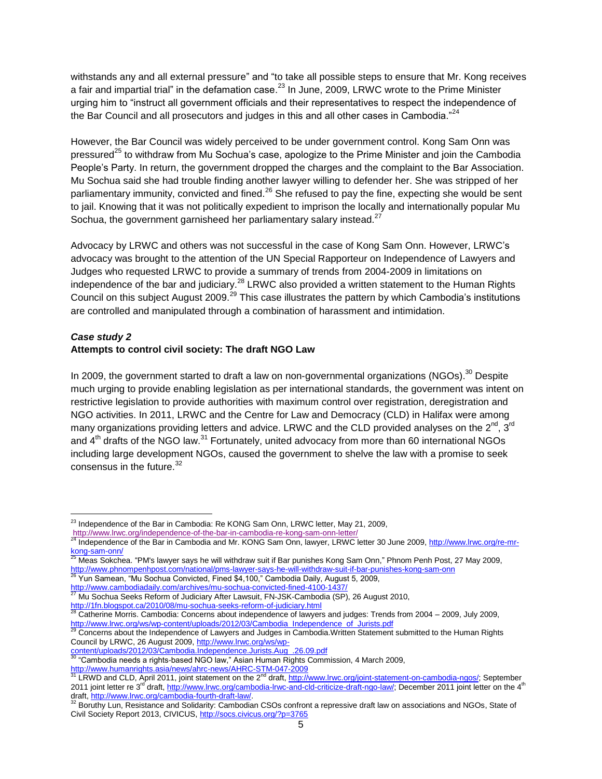withstands any and all external pressure" and "to take all possible steps to ensure that Mr. Kong receives a fair and impartial trial" in the defamation case.<sup>23</sup> In June, 2009, LRWC wrote to the Prime Minister urging him to "instruct all government officials and their representatives to respect the independence of the Bar Council and all prosecutors and judges in this and all other cases in Cambodia. $^{24}$ 

However, the Bar Council was widely perceived to be under government control. Kong Sam Onn was pressured<sup>25</sup> to withdraw from Mu Sochua's case, apologize to the Prime Minister and join the Cambodia People's Party. In return, the government dropped the charges and the complaint to the Bar Association. Mu Sochua said she had trouble finding another lawyer willing to defender her. She was stripped of her parliamentary immunity, convicted and fined.<sup>26</sup> She refused to pay the fine, expecting she would be sent to jail. Knowing that it was not politically expedient to imprison the locally and internationally popular Mu Sochua, the government garnisheed her parliamentary salary instead. $27$ 

Advocacy by LRWC and others was not successful in the case of Kong Sam Onn. However, LRWC's advocacy was brought to the attention of the UN Special Rapporteur on Independence of Lawyers and Judges who requested LRWC to provide a summary of trends from 2004-2009 in limitations on independence of the bar and judiciary.<sup>28</sup> LRWC also provided a written statement to the Human Rights Council on this subject August 2009.<sup>29</sup> This case illustrates the pattern by which Cambodia's institutions are controlled and manipulated through a combination of harassment and intimidation.

## *Case study 2*

 $\overline{a}$ 

# **Attempts to control civil society: The draft NGO Law**

In 2009, the government started to draft a law on non-governmental organizations (NGOs).<sup>30</sup> Despite much urging to provide enabling legislation as per international standards, the government was intent on restrictive legislation to provide authorities with maximum control over registration, deregistration and NGO activities. In 2011, LRWC and the Centre for Law and Democracy (CLD) in Halifax were among many organizations providing letters and advice. LRWC and the CLD provided analyses on the  $2^{nd}$ ,  $3^{rd}$ and  $4<sup>th</sup>$  drafts of the NGO law.<sup>31</sup> Fortunately, united advocacy from more than 60 international NGOs including large development NGOs, caused the government to shelve the law with a promise to seek consensus in the future. $32$ 

<http://www.cambodiadaily.com/archives/mu-sochua-convicted-fined-4100-1437/><br>27. March 2014 Debta District Prince Affinition Afford Contract Contract Contract Prince 2014

 $^{23}$  Independence of the Bar in Cambodia: Re KONG Sam Onn, LRWC letter, May 21, 2009,

<http://www.lrwc.org/independence-of-the-bar-in-cambodia-re-kong-sam-onn-letter/>

<sup>&</sup>lt;sup>24</sup> Independence of the Bar in Cambodia and Mr. KONG Sam Onn, lawyer, LRWC letter 30 June 2009[, http://www.lrwc.org/re-mr](http://www.lrwc.org/re-mr-kong-sam-onn/)k<u>ong-sam-onn/</u><br><sup>25</sup> Meas Sokchea. "PM's lawyer says he will withdraw suit if Bar punishes Kong Sam Onn," Phnom Penh Post, 27 May 2009,

<http://www.phnompenhpost.com/national/pms-lawyer-says-he-will-withdraw-suit-if-bar-punishes-kong-sam-onn><sup>26</sup><br><sup>26</sup> Yun Someon "Mu: Septus Carultinal/pms-lawyer-says-he-will-withdraw-suit-if-bar-punishes-kong-sam-onn Yun Samean, "Mu Sochua Convicted, Fined \$4,100," Cambodia Daily, August 5, 2009,

<sup>27</sup> Mu Sochua Seeks Reform of Judiciary After Lawsuit, FN-JSK-Cambodia (SP), 26 August 2010,

<http://1fn.blogspot.ca/2010/08/mu-sochua-seeks-reform-of-judiciary.html><br>28 Catherine Mexic Carrier 1

<sup>28</sup> Catherine Morris. Cambodia: Concerns about independence of lawyers and judges: Trends from 2004 – 2009, July 2009,

<sup>&</sup>lt;u>[http://www.lrwc.org/ws/wp-content/uploads/2012/03/Cambodia\\_Independence\\_of\\_Jurists.pdf](http://www.lrwc.org/ws/wp-content/uploads/2012/03/Cambodia_Independence_of_Jurists.pdf)</u><br><sup>29</sup> Concerns about the Independence of Lawyers and Judges in Cambodia.Written Statement submitted to the Human Rights Council by LRWC, 26 August 2009, [http://www.lrwc.org/ws/wp-](http://www.lrwc.org/ws/wp-content/uploads/2012/03/Cambodia.Independence.Jurists.Aug_.26.09.pdf)

<sup>&</sup>lt;u>[content/uploads/2012/03/Cambodia.Independence.Jurists.Aug\\_.26.09.pdf](http://www.lrwc.org/ws/wp-content/uploads/2012/03/Cambodia.Independence.Jurists.Aug_.26.09.pdf)</u><br><sup>30</sup> "Cambodia needs a rights-based NGO law," Asian Human Rights Commission, 4 March 2009,

<sup>&</sup>lt;u><http://www.humanrights.asia/news/ahrc-news/AHRC-STM-047-2009></u><br><sup>31</sup> LRWD and CLD, April 2011, joint statement on the 2<sup>nd</sup> draft, <u>http://www.lrwc.org/joint-statement-on-cambodia-ngos/;</u> September 2011 joint letter re 3<sup>rd</sup> draft, <u>[http://www.lrwc.org/cambodia-lrwc-and-cld-criticize-draft-ngo-law/;](http://www.lrwc.org/cambodia-lrwc-and-cld-criticize-draft-ngo-law/) December 2011 joint letter on the 4<sup>th</sup></u> draft, <u>http://www.lrwc.org/cambodia-fourth-draft-law/</u>.<br><sup>32</sup> Boruthy Lun, Resistance and Solidarity: Cambodian CSOs confront a repressive draft law on associations and NGOs, State of

Civil Society Report 2013, CIVICUS[, http://socs.civicus.org/?p=3765](http://socs.civicus.org/?p=3765)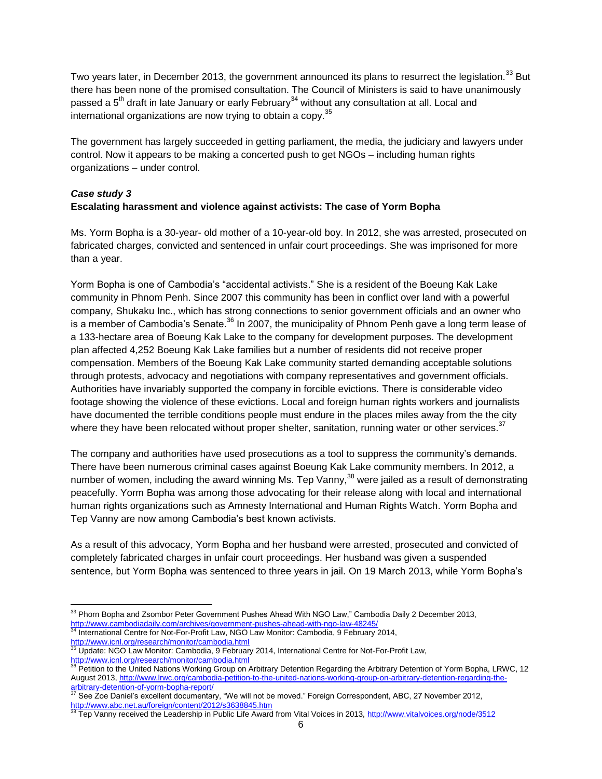Two years later, in December 2013, the government announced its plans to resurrect the legislation.<sup>33</sup> But there has been none of the promised consultation. The Council of Ministers is said to have unanimously passed a  $5<sup>th</sup>$  draft in late January or early February<sup>34</sup> without any consultation at all. Local and international organizations are now trying to obtain a copy.<sup>35</sup>

The government has largely succeeded in getting parliament, the media, the judiciary and lawyers under control. Now it appears to be making a concerted push to get NGOs – including human rights organizations – under control.

# *Case study 3* **Escalating harassment and violence against activists: The case of Yorm Bopha**

Ms. Yorm Bopha is a 30-year- old mother of a 10-year-old boy. In 2012, she was arrested, prosecuted on fabricated charges, convicted and sentenced in unfair court proceedings. She was imprisoned for more than a year.

Yorm Bopha is one of Cambodia's "accidental activists." She is a resident of the Boeung Kak Lake community in Phnom Penh. Since 2007 this community has been in conflict over land with a powerful company, Shukaku Inc., which has strong connections to senior government officials and an owner who is a member of Cambodia's Senate. $36$  In 2007, the municipality of Phnom Penh gave a long term lease of a 133-hectare area of Boeung Kak Lake to the company for development purposes. The development plan affected 4,252 Boeung Kak Lake families but a number of residents did not receive proper compensation. Members of the Boeung Kak Lake community started demanding acceptable solutions through protests, advocacy and negotiations with company representatives and government officials. Authorities have invariably supported the company in forcible evictions. There is considerable video footage showing the violence of these evictions. Local and foreign human rights workers and journalists have documented the terrible conditions people must endure in the places miles away from the the city where they have been relocated without proper shelter, sanitation, running water or other services. $37$ 

The company and authorities have used prosecutions as a tool to suppress the community's demands. There have been numerous criminal cases against Boeung Kak Lake community members. In 2012, a number of women, including the award winning Ms. Tep Vanny,  $38$  were jailed as a result of demonstrating peacefully. Yorm Bopha was among those advocating for their release along with local and international human rights organizations such as Amnesty International and Human Rights Watch. Yorm Bopha and Tep Vanny are now among Cambodia's best known activists.

As a result of this advocacy, Yorm Bopha and her husband were arrested, prosecuted and convicted of completely fabricated charges in unfair court proceedings. Her husband was given a suspended sentence, but Yorm Bopha was sentenced to three years in jail. On 19 March 2013, while Yorm Bopha's

 $\overline{a}$ <sup>33</sup> Phorn Bopha and Zsombor Peter Government Pushes Ahead With NGO Law," Cambodia Daily 2 December 2013, <http://www.cambodiadaily.com/archives/government-pushes-ahead-with-ngo-law-48245/>

International Centre for Not-For-Profit Law, NGO Law Monitor: Cambodia, 9 February 2014, <http://www.icnl.org/research/monitor/cambodia.html><br>35 Lindoto: MO.O. Lines and Cambodia.html

Update: NGO Law Monitor: Cambodia, 9 February 2014, International Centre for Not-For-Profit Law,

<sup>&</sup>lt;mark><http://www.icnl.org/research/monitor/cambodia.html></mark><br><sup>36</sup> Petition to the United Nations Working Group on Arbitrary Detention Regarding the Arbitrary Detention of Yorm Bopha, LRWC, 12 August 2013[, http://www.lrwc.org/cambodia-petition-to-the-united-nations-working-group-on-arbitrary-detention-regarding-the-](http://www.lrwc.org/cambodia-petition-to-the-united-nations-working-group-on-arbitrary-detention-regarding-the-arbitrary-detention-of-yorm-bopha-report/)

<sup>&</sup>lt;u>[arbitrary-detention-of-yorm-bopha-report/](http://www.lrwc.org/cambodia-petition-to-the-united-nations-working-group-on-arbitrary-detention-regarding-the-arbitrary-detention-of-yorm-bopha-report/)</u><br><sup>37</sup> See Zoe Daniel's excellent documentary, "We will not be moved." Foreign Correspondent, ABC, 27 November 2012, <http://www.abc.net.au/foreign/content/2012/s3638845.htm>

<sup>38</sup> Tep Vanny received the Leadership in Public Life Award from Vital Voices in 2013[, http://www.vitalvoices.org/node/3512](http://www.vitalvoices.org/node/3512)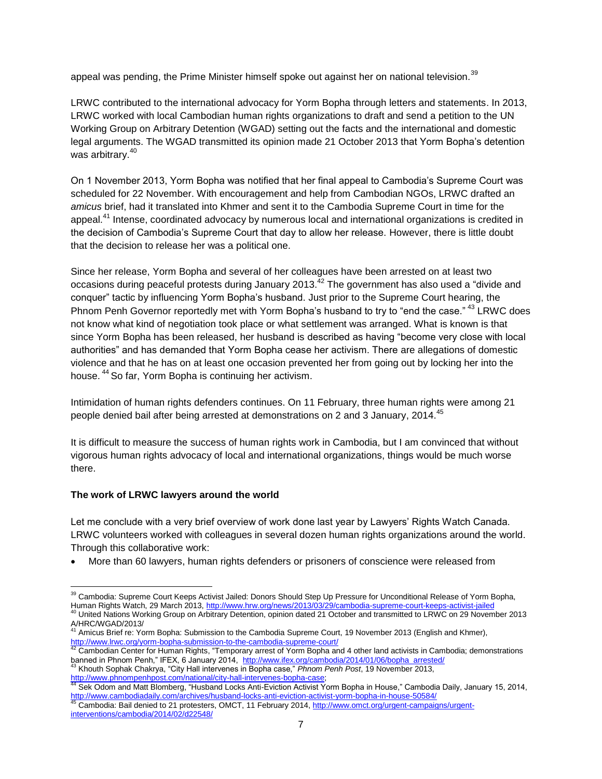appeal was pending, the Prime Minister himself spoke out against her on national television.<sup>39</sup>

LRWC contributed to the international advocacy for Yorm Bopha through letters and statements. In 2013, LRWC worked with local Cambodian human rights organizations to draft and send a petition to the UN Working Group on Arbitrary Detention (WGAD) setting out the facts and the international and domestic legal arguments. The WGAD transmitted its opinion made 21 October 2013 that Yorm Bopha's detention was arbitrary.<sup>40</sup>

On 1 November 2013, Yorm Bopha was notified that her final appeal to Cambodia's Supreme Court was scheduled for 22 November. With encouragement and help from Cambodian NGOs, LRWC drafted an *amicus* brief, had it translated into Khmer and sent it to the Cambodia Supreme Court in time for the appeal.<sup>41</sup> Intense, coordinated advocacy by numerous local and international organizations is credited in the decision of Cambodia's Supreme Court that day to allow her release. However, there is little doubt that the decision to release her was a political one.

Since her release, Yorm Bopha and several of her colleagues have been arrested on at least two occasions during peaceful protests during January 2013.<sup>42</sup> The government has also used a "divide and conquer" tactic by influencing Yorm Bopha's husband. Just prior to the Supreme Court hearing, the Phnom Penh Governor reportedly met with Yorm Bopha's husband to try to "end the case." <sup>43</sup> LRWC does not know what kind of negotiation took place or what settlement was arranged. What is known is that since Yorm Bopha has been released, her husband is described as having "become very close with local authorities" and has demanded that Yorm Bopha cease her activism. There are allegations of domestic violence and that he has on at least one occasion prevented her from going out by locking her into the house. <sup>44</sup> So far, Yorm Bopha is continuing her activism.

Intimidation of human rights defenders continues. On 11 February, three human rights were among 21 people denied bail after being arrested at demonstrations on 2 and 3 January, 2014.<sup>45</sup>

It is difficult to measure the success of human rights work in Cambodia, but I am convinced that without vigorous human rights advocacy of local and international organizations, things would be much worse there.

## **The work of LRWC lawyers around the world**

 $\overline{a}$ 

Let me conclude with a very brief overview of work done last year by Lawyers' Rights Watch Canada. LRWC volunteers worked with colleagues in several dozen human rights organizations around the world. Through this collaborative work:

More than 60 lawyers, human rights defenders or prisoners of conscience were released from

<sup>&</sup>lt;sup>39</sup> Cambodia: Supreme Court Keeps Activist Jailed: Donors Should Step Up Pressure for Unconditional Release of Yorm Bopha, Human Rights Watch, 29 March 2013,<http://www.hrw.org/news/2013/03/29/cambodia-supreme-court-keeps-activist-jailed> 40 United Nations Working Group on Arbitrary Detention, opinion dated 21 October and transmitted to LRWC on 29 November 2013

A/HRC/WGAD/2013/ Amicus Brief re: Yorm Bopha: Submission to the Cambodia Supreme Court, 19 November 2013 (English and Khmer),

<sup>&</sup>lt;u><http://www.lrwc.org/yorm-bopha-submission-to-the-cambodia-supreme-court/></u><br><sup>42</sup> Cambodian Center for Human Rights, "Temporary arrest of Yorm Bopha and 4 other land activists in Cambodia; demonstrations banned in Phnom Penh," IFEX, 6 January 2014, <u>[http://www.ifex.org/cambodia/2014/01/06/bopha\\_arrested/](http://www.ifex.org/cambodia/2014/01/06/bopha_arrested/)</u><br><sup>43</sup> Khouth Sophak Chakrya, "City Hall intervenes in Bopha case," *Phnom Penh Post*, 19 November 2013,

<sup>&</sup>lt;u>[http://www.phnompenhpost.com/national/city-hall-intervenes-bopha-case;](http://www.phnompenhpost.com/national/city-hall-intervenes-bopha-case)</u><br><sup>44</sup> Sek Odom and Matt Blomberg, "Husband Locks Anti-Eviction Activist Yorm Bopha in House," Cambodia Daily, January 15, 2014,

<http://www.cambodiadaily.com/archives/husband-locks-anti-eviction-activist-yorm-bopha-in-house-50584/> <sup>45</sup> Cambodia: Bail denied to 21 protesters, OMCT, 11 February 2014, [http://www.omct.org/urgent-campaigns/urgent-](http://www.omct.org/urgent-campaigns/urgent-interventions/cambodia/2014/02/d22548/)

[interventions/cambodia/2014/02/d22548/](http://www.omct.org/urgent-campaigns/urgent-interventions/cambodia/2014/02/d22548/)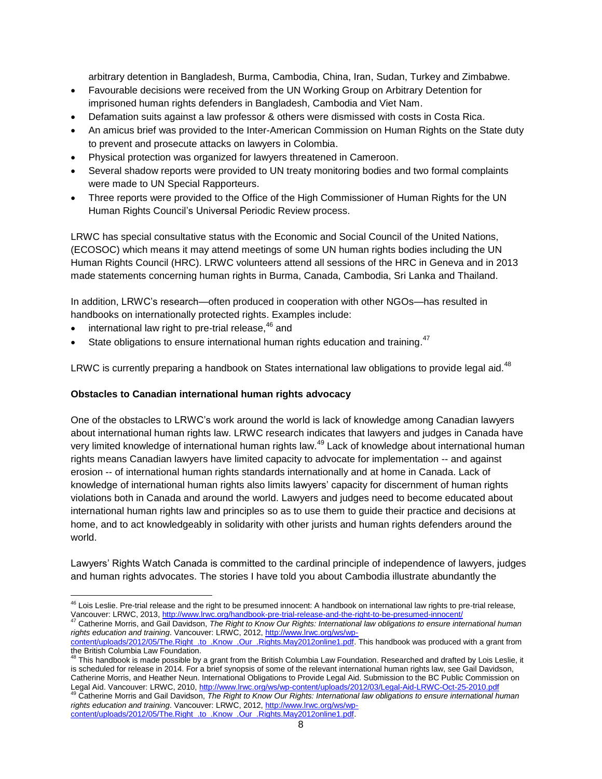arbitrary detention in Bangladesh, Burma, Cambodia, China, Iran, Sudan, Turkey and Zimbabwe.

- Favourable decisions were received from the UN Working Group on Arbitrary Detention for imprisoned human rights defenders in Bangladesh, Cambodia and Viet Nam.
- Defamation suits against a law professor & others were dismissed with costs in Costa Rica.
- An amicus brief was provided to the Inter-American Commission on Human Rights on the State duty to prevent and prosecute attacks on lawyers in Colombia.
- Physical protection was organized for lawyers threatened in Cameroon.
- Several shadow reports were provided to UN treaty monitoring bodies and two formal complaints were made to UN Special Rapporteurs.
- Three reports were provided to the Office of the High Commissioner of Human Rights for the UN Human Rights Council's Universal Periodic Review process.

LRWC has special consultative status with the Economic and Social Council of the United Nations, (ECOSOC) which means it may attend meetings of some UN human rights bodies including the UN Human Rights Council (HRC). LRWC volunteers attend all sessions of the HRC in Geneva and in 2013 made statements concerning human rights in Burma, Canada, Cambodia, Sri Lanka and Thailand.

In addition, LRWC's research—often produced in cooperation with other NGOs—has resulted in handbooks on internationally protected rights. Examples include:

international law right to pre-trial release,  $46$  and

 $\overline{a}$ 

• State obligations to ensure international human rights education and training.<sup>47</sup>

LRWC is currently preparing a handbook on States international law obligations to provide legal aid.<sup>48</sup>

## **Obstacles to Canadian international human rights advocacy**

One of the obstacles to LRWC's work around the world is lack of knowledge among Canadian lawyers about international human rights law. LRWC research indicates that lawyers and judges in Canada have very limited knowledge of international human rights law.<sup>49</sup> Lack of knowledge about international human rights means Canadian lawyers have limited capacity to advocate for implementation -- and against erosion -- of international human rights standards internationally and at home in Canada. Lack of knowledge of international human rights also limits lawyers' capacity for discernment of human rights violations both in Canada and around the world. Lawyers and judges need to become educated about international human rights law and principles so as to use them to guide their practice and decisions at home, and to act knowledgeably in solidarity with other jurists and human rights defenders around the world.

Lawyers' Rights Watch Canada is committed to the cardinal principle of independence of lawyers, judges and human rights advocates. The stories I have told you about Cambodia illustrate abundantly the

*rights education and training*. Vancouver: LRWC, 2012, [http://www.lrwc.org/ws/wp-](http://www.lrwc.org/ws/wp-content/uploads/2012/05/The.Right_.to_.Know_.Our_.Rights.May2012online1.pdf)

<sup>&</sup>lt;sup>46</sup> Lois Leslie. Pre-trial release and the right to be presumed innocent: A handbook on international law rights to pre-trial release, Vancouver: LRWC, 2013, <u>http://www.lrwc.org/handbook-pre-trial-release-and-the-right-to-be-presumed-innocent/</u><br><sup>47</sup> Catherine Morris, and Gail Davidson, *The Right to Know Our Rights: International law obligations to ensur* 

[content/uploads/2012/05/The.Right\\_.to\\_.Know\\_.Our\\_.Rights.May2012online1.pdf.](http://www.lrwc.org/ws/wp-content/uploads/2012/05/The.Right_.to_.Know_.Our_.Rights.May2012online1.pdf) This handbook was produced with a grant from the British Columbia Law Foundation.<br><sup>48</sup> This bandhask is mode pessible by

This handbook is made possible by a grant from the British Columbia Law Foundation. Researched and drafted by Lois Leslie, it is scheduled for release in 2014. For a brief synopsis of some of the relevant international human rights law, see Gail Davidson, Catherine Morris, and Heather Neun. International Obligations to Provide Legal Aid. Submission to the BC Public Commission on Legal Aid. Vancouver: LRWC, 2010, <u>http://www.lrwc.org/ws/wp-content/uploads/2012/03/Legal-Aid-LRWC-Oct-25-2010.pdf</u><br><sup>49</sup> Catherine Morris and Gail Davidson, *The Right to Know Our Rights: International law obligations to* 

rights education and training. Vancouver: LRWC, 2012, [http://www.lrwc.org/ws/wp](http://www.lrwc.org/ws/wp-content/uploads/2012/05/The.Right_.to_.Know_.Our_.Rights.May2012online1.pdf)[content/uploads/2012/05/The.Right\\_.to\\_.Know\\_.Our\\_.Rights.May2012online1.pdf.](http://www.lrwc.org/ws/wp-content/uploads/2012/05/The.Right_.to_.Know_.Our_.Rights.May2012online1.pdf)